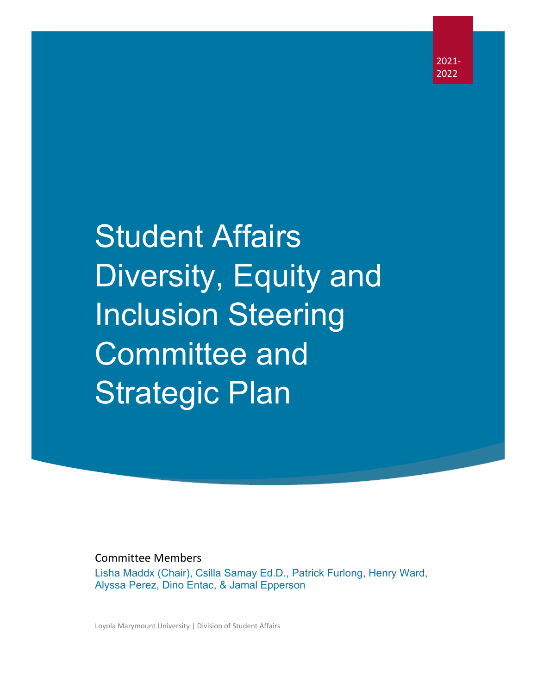2021- 2022

# Student Affairs Diversity, Equity and Inclusion Steering Committee and Strategic Plan

Committee Members

Lisha Maddx (Chair), Csilla Samay Ed.D., Patrick Furlong, Henry Ward, Alyssa Perez, Dino Entac, & Jamal Epperson

Loyola Marymount University | Division of Student Affairs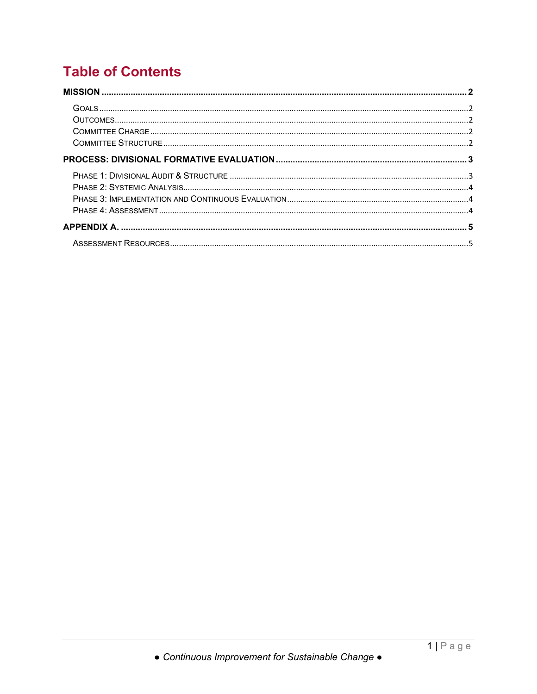## **Table of Contents**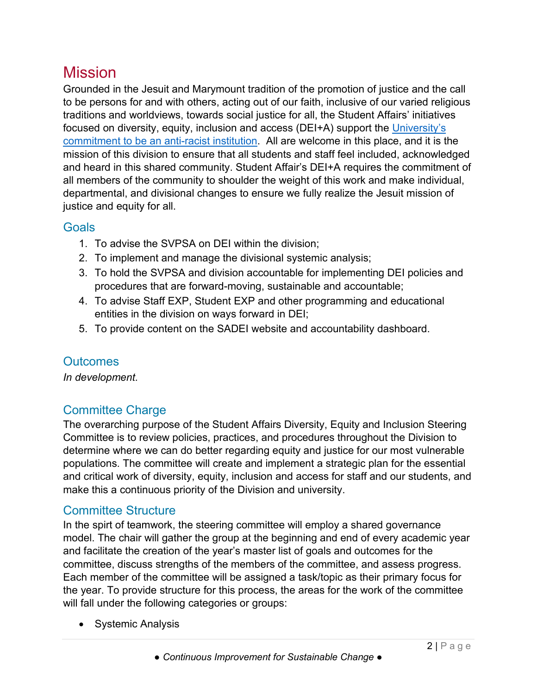## <span id="page-2-0"></span>Mission

Grounded in the Jesuit and Marymount tradition of the promotion of justice and the call to be persons for and with others, acting out of our faith, inclusive of our varied religious traditions and worldviews, towards social justice for all, the Student Affairs' initiatives focused on diversity, equity, inclusion and access (DEI+A) support the [University's](https://resources.lmu.edu/dei/initiativesprograms/thelmuanti-racismproject/)  [commitment to be an anti-racist institution.](https://resources.lmu.edu/dei/initiativesprograms/thelmuanti-racismproject/) All are welcome in this place, and it is the mission of this division to ensure that all students and staff feel included, acknowledged and heard in this shared community. Student Affair's DEI+A requires the commitment of all members of the community to shoulder the weight of this work and make individual, departmental, and divisional changes to ensure we fully realize the Jesuit mission of justice and equity for all.

### <span id="page-2-2"></span><span id="page-2-1"></span>Goals

- 1. To advise the SVPSA on DEI within the division;
- 2. To implement and manage the divisional systemic analysis;
- 3. To hold the SVPSA and division accountable for implementing DEI policies and procedures that are forward-moving, sustainable and accountable;
- 4. To advise Staff EXP, Student EXP and other programming and educational entities in the division on ways forward in DEI;
- 5. To provide content on the SADEI website and accountability dashboard.

## **Outcomes**

<span id="page-2-3"></span>*In development.*

## Committee Charge

The overarching purpose of the Student Affairs Diversity, Equity and Inclusion Steering Committee is to review policies, practices, and procedures throughout the Division to determine where we can do better regarding equity and justice for our most vulnerable populations. The committee will create and implement a strategic plan for the essential and critical work of diversity, equity, inclusion and access for staff and our students, and make this a continuous priority of the Division and university.

## <span id="page-2-4"></span>Committee Structure

In the spirt of teamwork, the steering committee will employ a shared governance model. The chair will gather the group at the beginning and end of every academic year and facilitate the creation of the year's master list of goals and outcomes for the committee, discuss strengths of the members of the committee, and assess progress. Each member of the committee will be assigned a task/topic as their primary focus for the year. To provide structure for this process, the areas for the work of the committee will fall under the following categories or groups:

• Systemic Analysis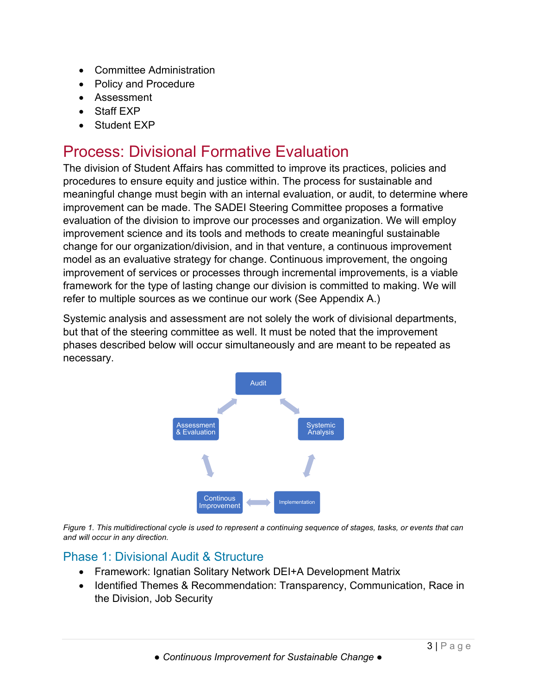- Committee Administration
- Policy and Procedure
- Assessment
- Staff EXP
- Student EXP

# <span id="page-3-0"></span>Process: Divisional Formative Evaluation

The division of Student Affairs has committed to improve its practices, policies and procedures to ensure equity and justice within. The process for sustainable and meaningful change must begin with an internal evaluation, or audit, to determine where improvement can be made. The SADEI Steering Committee proposes a formative evaluation of the division to improve our processes and organization. We will employ improvement science and its tools and methods to create meaningful sustainable change for our organization/division, and in that venture, a continuous improvement model as an evaluative strategy for change. Continuous improvement, the ongoing improvement of services or processes through incremental improvements, is a viable framework for the type of lasting change our division is committed to making. We will refer to multiple sources as we continue our work (See Appendix A.)

Systemic analysis and assessment are not solely the work of divisional departments, but that of the steering committee as well. It must be noted that the improvement phases described below will occur simultaneously and are meant to be repeated as necessary.



*Figure 1. This multidirectional cycle is used to represent a continuing sequence of stages, tasks, or events that can and will occur in any direction.*

#### <span id="page-3-1"></span>Phase 1: Divisional Audit & Structure

- Framework: Ignatian Solitary Network DEI+A Development Matrix
- Identified Themes & Recommendation: Transparency, Communication, Race in the Division, Job Security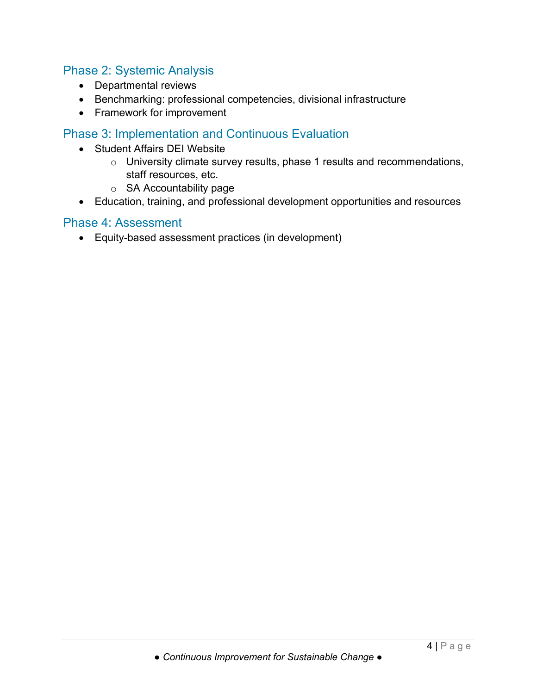#### <span id="page-4-0"></span>Phase 2: Systemic Analysis

- Departmental reviews
- Benchmarking: professional competencies, divisional infrastructure
- Framework for improvement

#### <span id="page-4-1"></span>Phase 3: Implementation and Continuous Evaluation

- Student Affairs DEI Website
	- o University climate survey results, phase 1 results and recommendations, staff resources, etc.
	- o SA Accountability page
- Education, training, and professional development opportunities and resources

#### <span id="page-4-2"></span>Phase 4: Assessment

• Equity-based assessment practices (in development)